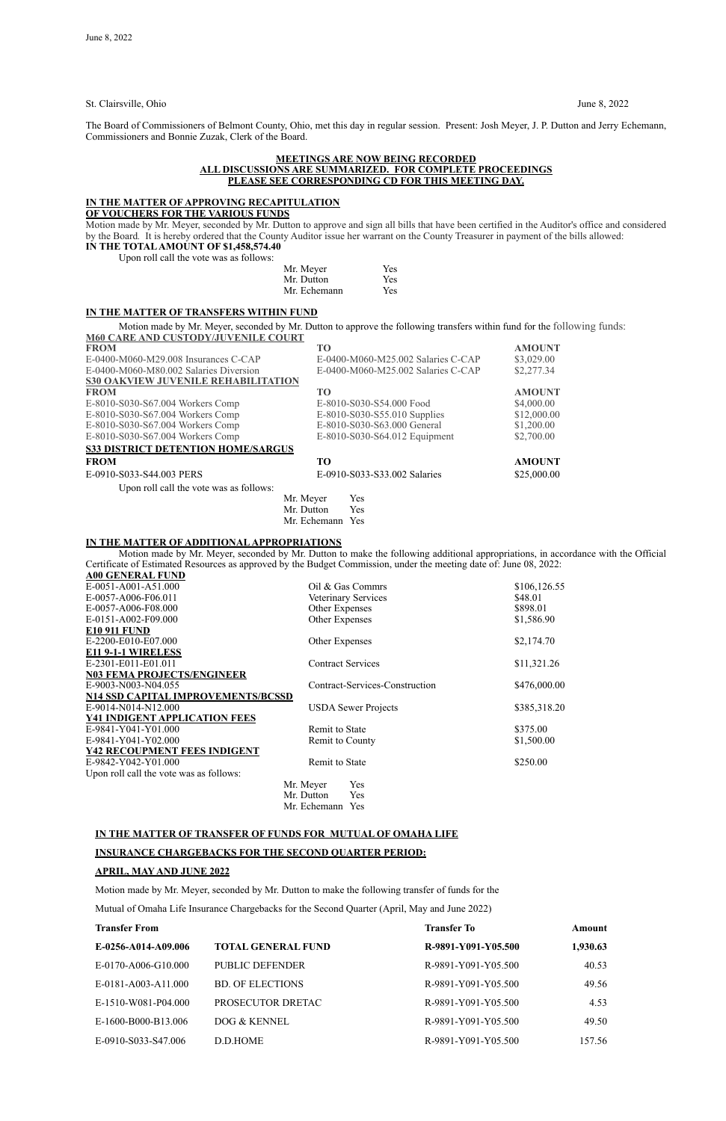St. Clairsville, Ohio June 8, 2022

The Board of Commissioners of Belmont County, Ohio, met this day in regular session. Present: Josh Meyer, J. P. Dutton and Jerry Echemann, Commissioners and Bonnie Zuzak, Clerk of the Board.

#### **MEETINGS ARE NOW BEING RECORDED ALL DISCUSSIONS ARE SUMMARIZED. FOR COMPLETE PROCEEDINGS PLEASE SEE CORRESPONDING CD FOR THIS MEETING DAY.**

**IN THE TOTAL AMOUNT OF \$1,458,574.40** Upon roll call the vote was as follows:

|  |  |  | TOIL CAIL THE VOIE WAS AS TOITOWS. |  |
|--|--|--|------------------------------------|--|
|  |  |  |                                    |  |

#### **IN THE MATTER OF APPROVING RECAPITULATION**

**OF VOUCHERS FOR THE VARIOUS FUNDS**

Motion made by Mr. Meyer, seconded by Mr. Dutton to approve and sign all bills that have been certified in the Auditor's office and considered by the Board*.* It is hereby ordered that the County Auditor issue her warrant on the County Treasurer in payment of the bills allowed:

| Mr. Meyer    | Yes |
|--------------|-----|
| Mr. Dutton   | Yes |
| Mr. Echemann | Yes |

#### **IN THE MATTER OF TRANSFERS WITHIN FUND**

Motion made by Mr. Meyer, seconded by Mr. Dutton to approve the following transfers within fund for the following funds: **M60 CARE AND CUSTODY/JUVENILE COURT**

| <b>FROM</b>                                | T <sub>O</sub>                     | <b>AMOUNT</b> |
|--------------------------------------------|------------------------------------|---------------|
| E-0400-M060-M29.008 Insurances C-CAP       | E-0400-M060-M25.002 Salaries C-CAP | \$3,029.00    |
| E-0400-M060-M80.002 Salaries Diversion     | E-0400-M060-M25.002 Salaries C-CAP | \$2,277.34    |
| <b>S30 OAKVIEW JUVENILE REHABILITATION</b> |                                    |               |
| <b>FROM</b>                                | TО                                 | <b>AMOUNT</b> |
| E-8010-S030-S67.004 Workers Comp           | E-8010-S030-S54.000 Food           | \$4,000.00    |
| E-8010-S030-S67.004 Workers Comp           | E-8010-S030-S55.010 Supplies       | \$12,000.00   |
| E-8010-S030-S67.004 Workers Comp           | E-8010-S030-S63.000 General        | \$1,200.00    |
| E-8010-S030-S67.004 Workers Comp           | E-8010-S030-S64.012 Equipment      | \$2,700.00    |
| <b>S33 DISTRICT DETENTION HOME/SARGUS</b>  |                                    |               |
| <b>FROM</b>                                | TО                                 | <b>AMOUNT</b> |
| E-0910-S033-S44.003 PERS                   | E-0910-S033-S33.002 Salaries       | \$25,000.00   |
| Upon roll call the vote was as follows:    |                                    |               |
|                                            | Mr. Meyer<br><b>Yes</b>            |               |
|                                            | Mr. Dutton<br>Yes                  |               |
|                                            | Mr. Echemann<br>Yes                |               |

#### **IN THE MATTER OF ADDITIONAL APPROPRIATIONS**

Motion made by Mr. Meyer, seconded by Mr. Dutton to make the following additional appropriations, in accordance with the Official Certificate of Estimated Resources as approved by the Budget Commission, under the meeting date of: June 08, 2022: **A00 GENERAL FUND**

| AW GENERAL FUND                         |                                |              |
|-----------------------------------------|--------------------------------|--------------|
| E-0051-A001-A51.000                     | Oil & Gas Commrs               | \$106,126.55 |
| E-0057-A006-F06.011                     | Veterinary Services            | \$48.01      |
| E-0057-A006-F08.000                     | Other Expenses                 | \$898.01     |
| E-0151-A002-F09.000                     | Other Expenses                 | \$1,586.90   |
| <b>E10 911 FUND</b>                     |                                |              |
| E-2200-E010-E07.000                     | Other Expenses                 | \$2,174.70   |
| E11 9-1-1 WIRELESS                      |                                |              |
| E-2301-E011-E01.011                     | <b>Contract Services</b>       | \$11,321.26  |
| <b>N03 FEMA PROJECTS/ENGINEER</b>       |                                |              |
| E-9003-N003-N04.055                     | Contract-Services-Construction | \$476,000.00 |
| N14 SSD CAPITAL IMPROVEMENTS/BCSSD      |                                |              |
| E-9014-N014-N12.000                     | <b>USDA Sewer Projects</b>     | \$385,318.20 |
| <b>Y41 INDIGENT APPLICATION FEES</b>    |                                |              |
| E-9841-Y041-Y01.000                     | Remit to State                 | \$375.00     |
| E-9841-Y041-Y02.000                     | Remit to County                | \$1,500.00   |
| <b>Y42 RECOUPMENT FEES INDIGENT</b>     |                                |              |
| E-9842-Y042-Y01.000                     | <b>Remit to State</b>          | \$250.00     |
| Upon roll call the vote was as follows: |                                |              |
|                                         | Mr. Meyer<br>Yes               |              |
|                                         | Mr. Dutton<br>Yes              |              |

Mr. Echemann Yes

## **IN THE MATTER OF TRANSFER OF FUNDS FOR MUTUAL OF OMAHA LIFE**

## **INSURANCE CHARGEBACKS FOR THE SECOND QUARTER PERIOD:**

## **APRIL, MAY AND JUNE 2022**

Motion made by Mr. Meyer, seconded by Mr. Dutton to make the following transfer of funds for the

Mutual of Omaha Life Insurance Chargebacks for the Second Quarter (April, May and June 2022)

| <b>Transfer From</b> |                           | <b>Transfer To</b>  | Amount   |  |
|----------------------|---------------------------|---------------------|----------|--|
| E-0256-A014-A09.006  | <b>TOTAL GENERAL FUND</b> | R-9891-Y091-Y05.500 | 1,930.63 |  |
| E-0170-A006-G10.000  | PUBLIC DEFENDER           | R-9891-Y091-Y05.500 | 40.53    |  |
| E-0181-A003-A11.000  | <b>BD. OF ELECTIONS</b>   | R-9891-Y091-Y05.500 | 49.56    |  |
| E-1510-W081-P04.000  | PROSECUTOR DRETAC         | R-9891-Y091-Y05.500 | 4.53     |  |
| E-1600-B000-B13.006  | DOG & KENNEL              | R-9891-Y091-Y05.500 | 49.50    |  |
| E-0910-S033-S47.006  | D.D.HOME                  | R-9891-Y091-Y05.500 | 157.56   |  |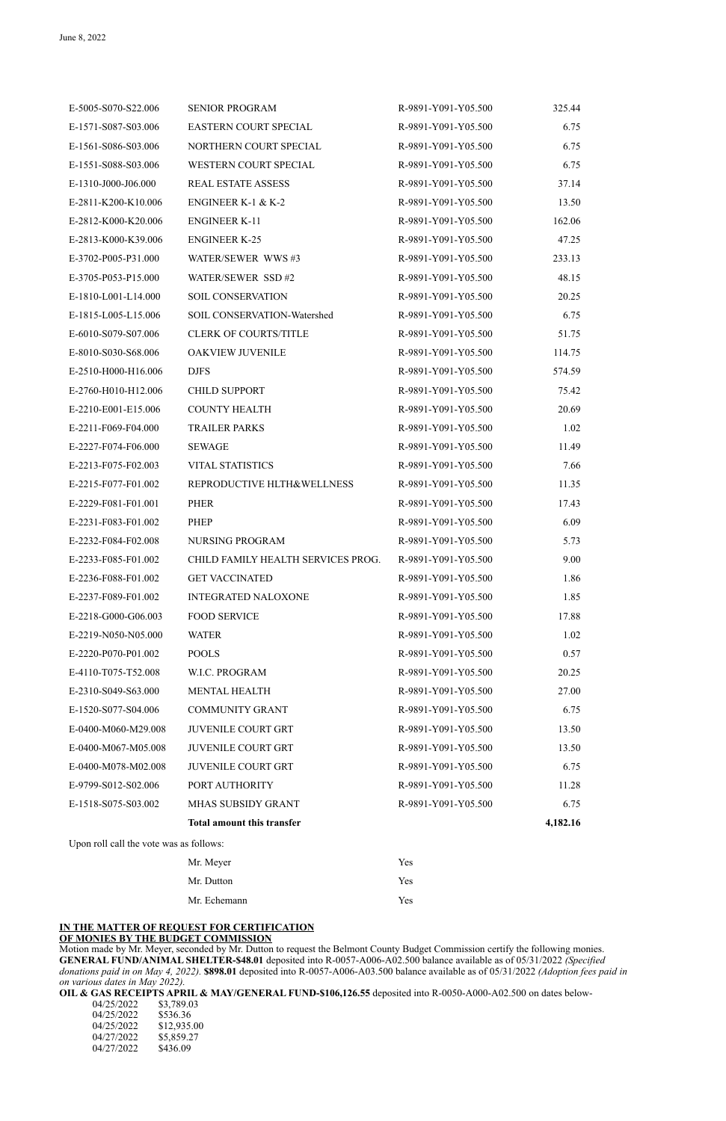#### **IN THE MATTER OF REQUEST FOR CERTIFICATION OF MONIES BY THE BUDGET COMMISSION**

Motion made by Mr. Meyer, seconded by Mr. Dutton to request the Belmont County Budget Commission certify the following monies. **GENERAL FUND/ANIMAL SHELTER-\$48.01** deposited into R-0057-A006-A02.500 balance available as of 05/31/2022 *(Specified donations paid in on May 4, 2022).* **\$898.01** deposited into R-0057-A006-A03.500 balance available as of 05/31/2022 *(Adoption fees paid in on various dates in May 2022).*

**OIL & GAS RECEIPTS APRIL & MAY/GENERAL FUND-\$106,126.55** deposited into R-0050-A000-A02.500 on dates below-

| 04/25/2022 | \$3,789.03  |
|------------|-------------|
| 04/25/2022 | \$536.36    |
| 04/25/2022 | \$12,935.00 |
| 04/27/2022 | \$5,859.27  |
| 04/27/2022 | \$436.09    |

| E-5005-S070-S22.006 | <b>SENIOR PROGRAM</b>              | R-9891-Y091-Y05.500 | 325.44 |
|---------------------|------------------------------------|---------------------|--------|
| E-1571-S087-S03.006 | <b>EASTERN COURT SPECIAL</b>       | R-9891-Y091-Y05.500 | 6.75   |
| E-1561-S086-S03.006 | NORTHERN COURT SPECIAL             | R-9891-Y091-Y05.500 | 6.75   |
| E-1551-S088-S03.006 | WESTERN COURT SPECIAL              | R-9891-Y091-Y05.500 | 6.75   |
| E-1310-J000-J06.000 | <b>REAL ESTATE ASSESS</b>          | R-9891-Y091-Y05.500 | 37.14  |
| E-2811-K200-K10.006 | <b>ENGINEER K-1 &amp; K-2</b>      | R-9891-Y091-Y05.500 | 13.50  |
| E-2812-K000-K20.006 | <b>ENGINEER K-11</b>               | R-9891-Y091-Y05.500 | 162.06 |
| E-2813-K000-K39.006 | <b>ENGINEER K-25</b>               | R-9891-Y091-Y05.500 | 47.25  |
| E-3702-P005-P31.000 | WATER/SEWER WWS#3                  | R-9891-Y091-Y05.500 | 233.13 |
| E-3705-P053-P15.000 | WATER/SEWER SSD #2                 | R-9891-Y091-Y05.500 | 48.15  |
| E-1810-L001-L14.000 | <b>SOIL CONSERVATION</b>           | R-9891-Y091-Y05.500 | 20.25  |
| E-1815-L005-L15.006 | SOIL CONSERVATION-Watershed        | R-9891-Y091-Y05.500 | 6.75   |
| E-6010-S079-S07.006 | <b>CLERK OF COURTS/TITLE</b>       | R-9891-Y091-Y05.500 | 51.75  |
| E-8010-S030-S68.006 | <b>OAKVIEW JUVENILE</b>            | R-9891-Y091-Y05.500 | 114.75 |
| E-2510-H000-H16.006 | <b>DJFS</b>                        | R-9891-Y091-Y05.500 | 574.59 |
| E-2760-H010-H12.006 | <b>CHILD SUPPORT</b>               | R-9891-Y091-Y05.500 | 75.42  |
| E-2210-E001-E15.006 | <b>COUNTY HEALTH</b>               | R-9891-Y091-Y05.500 | 20.69  |
| E-2211-F069-F04.000 | <b>TRAILER PARKS</b>               | R-9891-Y091-Y05.500 | 1.02   |
| E-2227-F074-F06.000 | <b>SEWAGE</b>                      | R-9891-Y091-Y05.500 | 11.49  |
| E-2213-F075-F02.003 | <b>VITAL STATISTICS</b>            | R-9891-Y091-Y05.500 | 7.66   |
| E-2215-F077-F01.002 | REPRODUCTIVE HLTH&WELLNESS         | R-9891-Y091-Y05.500 | 11.35  |
| E-2229-F081-F01.001 | <b>PHER</b>                        | R-9891-Y091-Y05.500 | 17.43  |
| E-2231-F083-F01.002 | <b>PHEP</b>                        | R-9891-Y091-Y05.500 | 6.09   |
| E-2232-F084-F02.008 | <b>NURSING PROGRAM</b>             | R-9891-Y091-Y05.500 | 5.73   |
| E-2233-F085-F01.002 | CHILD FAMILY HEALTH SERVICES PROG. | R-9891-Y091-Y05.500 | 9.00   |
| E-2236-F088-F01.002 | <b>GET VACCINATED</b>              | R-9891-Y091-Y05.500 | 1.86   |
| E-2237-F089-F01.002 | <b>INTEGRATED NALOXONE</b>         | R-9891-Y091-Y05.500 | 1.85   |
| E-2218-G000-G06.003 | <b>FOOD SERVICE</b>                | R-9891-Y091-Y05.500 | 17.88  |
| E-2219-N050-N05.000 | <b>WATER</b>                       | R-9891-Y091-Y05.500 | 1.02   |
| E-2220-P070-P01.002 | <b>POOLS</b>                       | R-9891-Y091-Y05.500 | 0.57   |
| E-4110-T075-T52.008 | W.I.C. PROGRAM                     | R-9891-Y091-Y05.500 | 20.25  |
| E-2310-S049-S63.000 | <b>MENTAL HEALTH</b>               | R-9891-Y091-Y05.500 | 27.00  |
| E-1520-S077-S04.006 | <b>COMMUNITY GRANT</b>             | R-9891-Y091-Y05.500 | 6.75   |
| E-0400-M060-M29.008 | <b>JUVENILE COURT GRT</b>          | R-9891-Y091-Y05.500 | 13.50  |
| E-0400-M067-M05.008 | <b>JUVENILE COURT GRT</b>          | R-9891-Y091-Y05.500 | 13.50  |
| E-0400-M078-M02.008 | <b>JUVENILE COURT GRT</b>          | R-9891-Y091-Y05.500 | 6.75   |
| E-9799-S012-S02.006 | PORT AUTHORITY                     | R-9891-Y091-Y05.500 | 11.28  |
| E-1518-S075-S03.002 | MHAS SUBSIDY GRANT                 | R-9891-Y091-Y05.500 | 6.75   |
|                     |                                    |                     |        |

Upon roll call the vote was as follows:

| Mr. Meyer    | <b>Yes</b> |
|--------------|------------|
| Mr. Dutton   | <b>Yes</b> |
| Mr. Echemann | Yes        |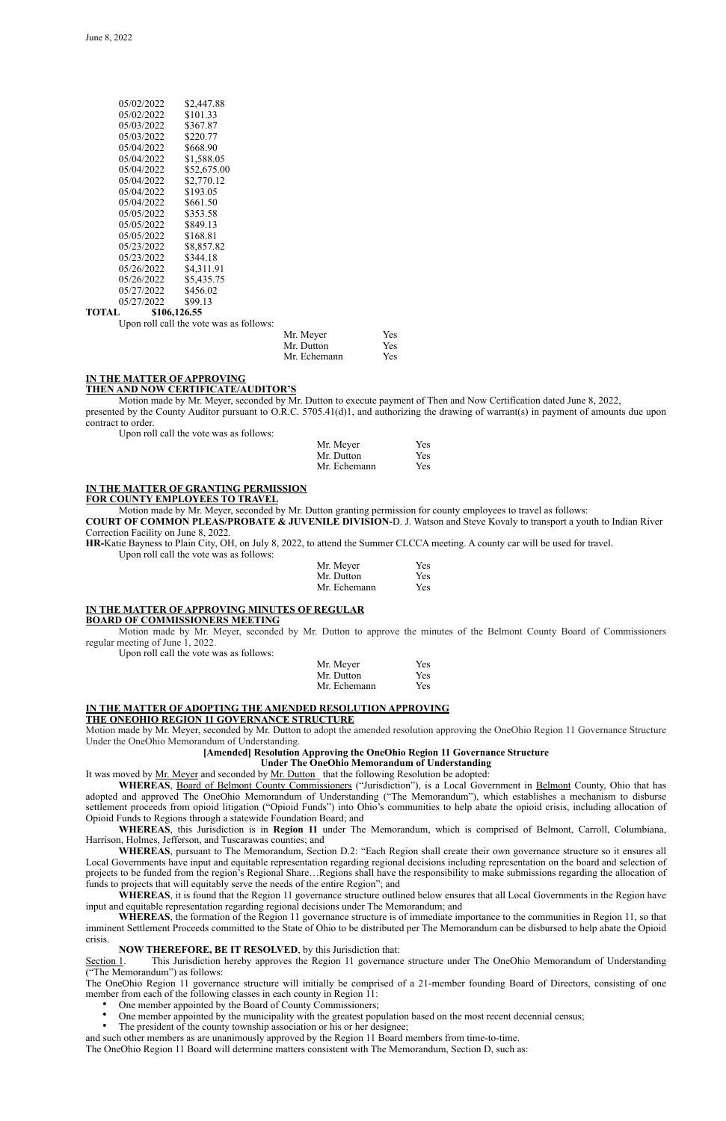| 05/02/2022 | \$2,447.88  |
|------------|-------------|
| 05/02/2022 | \$101.33    |
| 05/03/2022 | \$367.87    |
| 05/03/2022 | \$220.77    |
| 05/04/2022 | \$668.90    |
| 05/04/2022 | \$1,588.05  |
| 05/04/2022 | \$52,675.00 |
| 05/04/2022 | \$2,770.12  |
| 05/04/2022 | \$193.05    |
| 05/04/2022 | \$661.50    |
| 05/05/2022 | \$353.58    |
| 05/05/2022 | \$849.13    |
| 05/05/2022 | \$168.81    |
| 05/23/2022 | \$8,857.82  |
| 05/23/2022 | \$344.18    |
| 05/26/2022 | \$4,311.91  |
| 05/26/2022 | \$5,435.75  |
| 05/27/2022 | \$456.02    |
| 05/27/2022 | \$99.13     |
|            |             |

## **TOTAL \$106,126.55**

Upon roll call the vote was as follows:

| Mr. Meyer    | <b>Yes</b> |
|--------------|------------|
| Mr. Dutton   | <b>Yes</b> |
| Mr. Echemann | <b>Yes</b> |

#### **IN THE MATTER OF APPROVING THEN AND NOW CERTIFICATE/AUDITOR'S**

Motion made by Mr. Meyer, seconded by Mr. Dutton to execute payment of Then and Now Certification dated June 8, 2022, presented by the County Auditor pursuant to O.R.C. 5705.41(d)1, and authorizing the drawing of warrant(s) in payment of amounts due upon contract to order.

Upon roll call the vote was as follows:

| Mr. Meyer    | Yes |
|--------------|-----|
| Mr. Dutton   | Yes |
| Mr. Echemann | Yes |

## **IN THE MATTER OF GRANTING PERMISSION**

#### **FOR COUNTY EMPLOYEES TO TRAVEL**

Motion made by Mr. Meyer, seconded by Mr. Dutton granting permission for county employees to travel as follows:

**COURT OF COMMON PLEAS/PROBATE & JUVENILE DIVISION-**D. J. Watson and Steve Kovaly to transport a youth to Indian River Correction Facility on June 8, 2022.

**HR-**Katie Bayness to Plain City, OH, on July 8, 2022, to attend the Summer CLCCA meeting. A county car will be used for travel. Upon roll call the vote was as follows:

| Mr. Meyer    | Yes |
|--------------|-----|
| Mr. Dutton   | Yes |
| Mr. Echemann | Yes |

#### **IN THE MATTER OF APPROVING MINUTES OF REGULAR**

#### **BOARD OF COMMISSIONERS MEETING**

Motion made by Mr. Meyer, seconded by Mr. Dutton to approve the minutes of the Belmont County Board of Commissioners regular meeting of June 1, 2022.

Upon roll call the vote was as follows:

| Mr. Meyer    | Yes |
|--------------|-----|
| Mr. Dutton   | Yes |
| Mr. Echemann | Yes |

# **IN THE MATTER OF ADOPTING THE AMENDED RESOLUTION APPROVING**

**THE ONEOHIO REGION 11 GOVERNANCE STRUCTURE**

Motion made by Mr. Meyer, seconded by Mr. Dutton to adopt the amended resolution approving the OneOhio Region 11 Governance Structure Under the OneOhio Memorandum of Understanding.

**NOW THEREFORE, BE IT RESOLVED**, by this Jurisdiction that:<br>Section 1. This Jurisdiction hereby approves the Region 11 governance This Jurisdiction hereby approves the Region 11 governance structure under The OneOhio Memorandum of Understanding ("The Memorandum") as follows:

#### **[Amended] Resolution Approving the OneOhio Region 11 Governance Structure**

- One member appointed by the Board of County Commissioners;
- One member appointed by the municipality with the greatest population based on the most recent decennial census;
- The president of the county township association or his or her designee;

#### **Under The OneOhio Memorandum of Understanding**

It was moved by Mr. Meyer and seconded by Mr. Dutton\_ that the following Resolution be adopted:

**WHEREAS**, Board of Belmont County Commissioners ("Jurisdiction"), is a Local Government in Belmont County, Ohio that has adopted and approved The OneOhio Memorandum of Understanding ("The Memorandum"), which establishes a mechanism to disburse settlement proceeds from opioid litigation ("Opioid Funds") into Ohio's communities to help abate the opioid crisis, including allocation of Opioid Funds to Regions through a statewide Foundation Board; and

**WHEREAS**, this Jurisdiction is in **Region 11** under The Memorandum, which is comprised of Belmont, Carroll, Columbiana, Harrison, Holmes, Jefferson, and Tuscarawas counties; and

**WHEREAS**, pursuant to The Memorandum, Section D.2: "Each Region shall create their own governance structure so it ensures all Local Governments have input and equitable representation regarding regional decisions including representation on the board and selection of projects to be funded from the region's Regional Share…Regions shall have the responsibility to make submissions regarding the allocation of funds to projects that will equitably serve the needs of the entire Region"; and

**WHEREAS**, it is found that the Region 11 governance structure outlined below ensures that all Local Governments in the Region have input and equitable representation regarding regional decisions under The Memorandum; and

**WHEREAS**, the formation of the Region 11 governance structure is of immediate importance to the communities in Region 11, so that imminent Settlement Proceeds committed to the State of Ohio to be distributed per The Memorandum can be disbursed to help abate the Opioid crisis.

The OneOhio Region 11 governance structure will initially be comprised of a 21-member founding Board of Directors, consisting of one member from each of the following classes in each county in Region 11:

and such other members as are unanimously approved by the Region 11 Board members from time-to-time.

The OneOhio Region 11 Board will determine matters consistent with The Memorandum, Section D, such as: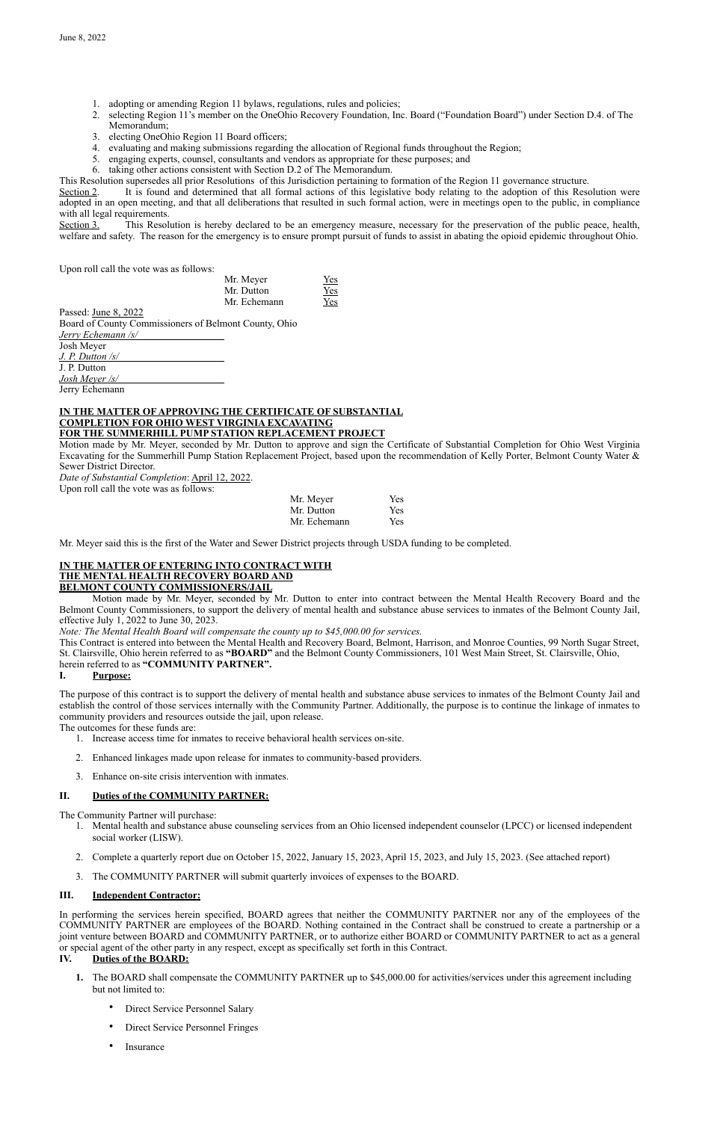- 1. adopting or amending Region 11 bylaws, regulations, rules and policies;
- 2. selecting Region 11's member on the OneOhio Recovery Foundation, Inc. Board ("Foundation Board") under Section D.4. of The Memorandum;
- 3. electing OneOhio Region 11 Board officers;
- 4. evaluating and making submissions regarding the allocation of Regional funds throughout the Region;
- 5. engaging experts, counsel, consultants and vendors as appropriate for these purposes; and
- 6. taking other actions consistent with Section D.2 of The Memorandum.

Section 2. It is found and determined that all formal actions of this legislative body relating to the adoption of this Resolution were adopted in an open meeting, and that all deliberations that resulted in such formal action, were in meetings open to the public, in compliance with all legal requirements.

This Resolution supersedes all prior Resolutions of this Jurisdiction pertaining to formation of the Region 11 governance structure.

Section 3. This Resolution is hereby declared to be an emergency measure, necessary for the preservation of the public peace, health, welfare and safety. The reason for the emergency is to ensure prompt pursuit of funds to assist in abating the opioid epidemic throughout Ohio.

Upon roll call the vote was as follows:

| Mr. Meyer    | Yes |
|--------------|-----|
| Mr. Dutton   | Yes |
| Mr. Echemann | Yes |

Passed: June 8, 2022 Board of County Commissioners of Belmont County, Ohio *Jerry Echemann /s/* Josh Meyer *J. P. Dutton /s/* J. P. Dutton *Josh Meyer /s/*

Jerry Echemann

#### **IN THE MATTER OF APPROVING THE CERTIFICATE OF SUBSTANTIAL COMPLETION FOR OHIO WEST VIRGINIA EXCAVATING FOR THE SUMMERHILL PUMP STATION REPLACEMENT PROJECT**

Motion made by Mr. Meyer, seconded by Mr. Dutton to approve and sign the Certificate of Substantial Completion for Ohio West Virginia Excavating for the Summerhill Pump Station Replacement Project, based upon the recommendation of Kelly Porter, Belmont County Water & Sewer District Director.

*Date of Substantial Completion*: April 12, 2022.

Upon roll call the vote was as follows:

| Mr. Meyer    | Yes |
|--------------|-----|
| Mr. Dutton   | Yes |
| Mr. Echemann | Yes |

Mr. Meyer said this is the first of the Water and Sewer District projects through USDA funding to be completed.

## **IN THE MATTER OF ENTERING INTO CONTRACT WITH THE MENTAL HEALTH RECOVERY BOARD AND BELMONT COUNTY COMMISSIONERS/JAIL**

Motion made by Mr. Meyer, seconded by Mr. Dutton to enter into contract between the Mental Health Recovery Board and the Belmont County Commissioners, to support the delivery of mental health and substance abuse services to inmates of the Belmont County Jail, effective July 1, 2022 to June 30, 2023.

*Note: The Mental Health Board will compensate the county up to \$45,000.00 for services.*

This Contract is entered into between the Mental Health and Recovery Board, Belmont, Harrison, and Monroe Counties, 99 North Sugar Street, St. Clairsville, Ohio herein referred to as **"BOARD"** and the Belmont County Commissioners, 101 West Main Street, St. Clairsville, Ohio, herein referred to as **"COMMUNITY PARTNER".**

## **I. Purpose:**

The purpose of this contract is to support the delivery of mental health and substance abuse services to inmates of the Belmont County Jail and establish the control of those services internally with the Community Partner. Additionally, the purpose is to continue the linkage of inmates to community providers and resources outside the jail, upon release.

The outcomes for these funds are:

- 1. Increase access time for inmates to receive behavioral health services on-site.
- 2. Enhanced linkages made upon release for inmates to community-based providers.
- 3. Enhance on-site crisis intervention with inmates.

## **II. Duties of the COMMUNITY PARTNER:**

The Community Partner will purchase:

- 1. Mental health and substance abuse counseling services from an Ohio licensed independent counselor (LPCC) or licensed independent social worker (LISW).
- 2. Complete a quarterly report due on October 15, 2022, January 15, 2023, April 15, 2023, and July 15, 2023. (See attached report)
- 3. The COMMUNITY PARTNER will submit quarterly invoices of expenses to the BOARD.

## **III. Independent Contractor:**

In performing the services herein specified, BOARD agrees that neither the COMMUNITY PARTNER nor any of the employees of the COMMUNITY PARTNER are employees of the BOARD. Nothing contained in the Contract shall be construed to create a partnership or a joint venture between BOARD and COMMUNITY PARTNER, or to authorize either BOARD or COMMUNITY PARTNER to act as a general or special agent of the other party in any respect, except as specifically set forth in this Contract.

## **IV. Duties of the BOARD:**

- **1.** The BOARD shall compensate the COMMUNITY PARTNER up to \$45,000.00 for activities/services under this agreement including but not limited to:
	- Direct Service Personnel Salary
	- Direct Service Personnel Fringes
	- **Insurance**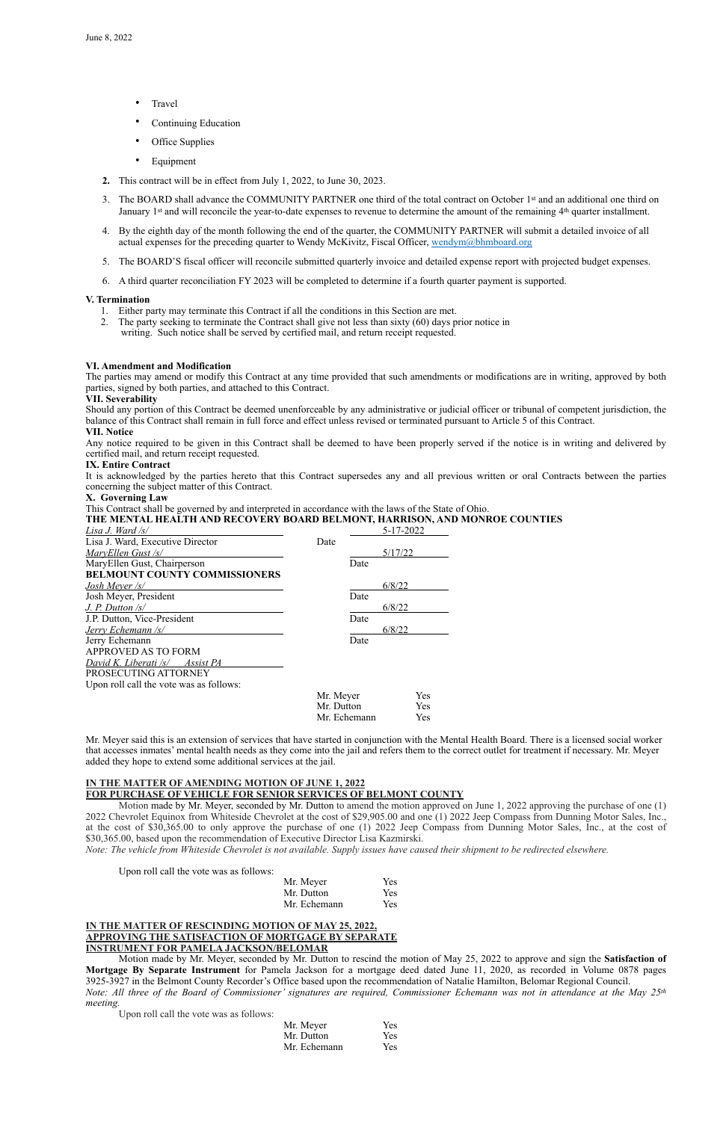- Travel
- Continuing Education
- Office Supplies
- **Equipment**
- **2.** This contract will be in effect from July 1, 2022, to June 30, 2023.
- 3. The BOARD shall advance the COMMUNITY PARTNER one third of the total contract on October 1st and an additional one third on January 1<sup>st</sup> and will reconcile the year-to-date expenses to revenue to determine the amount of the remaining 4<sup>th</sup> quarter installment.
- 4. By the eighth day of the month following the end of the quarter, the COMMUNITY PARTNER will submit a detailed invoice of all actual expenses for the preceding quarter to Wendy McKivitz, Fiscal Officer, [wendym@bhmboard.org](mailto:wendym@bhmboard.org)
- 5. The BOARD'S fiscal officer will reconcile submitted quarterly invoice and detailed expense report with projected budget expenses.
- 6. A third quarter reconciliation FY 2023 will be completed to determine if a fourth quarter payment is supported.

#### **V. Termination**

- 1. Either party may terminate this Contract if all the conditions in this Section are met.
- 2. The party seeking to terminate the Contract shall give not less than sixty (60) days prior notice in writing. Such notice shall be served by certified mail, and return receipt requested.

#### **VI. Amendment and Modification**

The parties may amend or modify this Contract at any time provided that such amendments or modifications are in writing, approved by both parties, signed by both parties, and attached to this Contract.

#### **VII. Severability**

Should any portion of this Contract be deemed unenforceable by any administrative or judicial officer or tribunal of competent jurisdiction, the balance of this Contract shall remain in full force and effect unless revised or terminated pursuant to Article 5 of this Contract. **VII. Notice**

Any notice required to be given in this Contract shall be deemed to have been properly served if the notice is in writing and delivered by certified mail, and return receipt requested.

#### **IX. Entire Contract**

It is acknowledged by the parties hereto that this Contract supersedes any and all previous written or oral Contracts between the parties concerning the subject matter of this Contract.

#### **X. Governing Law**

This Contract shall be governed by and interpreted in accordance with the laws of the State of Ohio.

## **THE MENTAL HEALTH AND RECOVERY BOARD BELMONT, HARRISON, AND MONROE COUNTIES**

| Lisa J. Ward /s/                        |              | 5-17-2022  |
|-----------------------------------------|--------------|------------|
| Lisa J. Ward, Executive Director        | Date         |            |
| MaryEllen Gust /s/                      |              | 5/17/22    |
| MaryEllen Gust, Chairperson             | Date         |            |
| <b>BELMOUNT COUNTY COMMISSIONERS</b>    |              |            |
| Josh Meyer /s/                          |              | 6/8/22     |
| Josh Meyer, President                   | Date         |            |
| $J. P.$ Dutton $\sqrt{s}$               |              | 6/8/22     |
| J.P. Dutton, Vice-President             | Date         |            |
| Jerry Echemann /s/                      |              | 6/8/22     |
| Jerry Echemann                          | Date         |            |
| <b>APPROVED AS TO FORM</b>              |              |            |
| David K. Liberati /s/<br>Assist PA      |              |            |
| PROSECUTING ATTORNEY                    |              |            |
| Upon roll call the vote was as follows: |              |            |
|                                         | Mr. Meyer    | Yes        |
|                                         | Mr. Dutton   | <b>Yes</b> |
|                                         | Mr. Echemann | Yes        |

Mr. Meyer said this is an extension of services that have started in conjunction with the Mental Health Board. There is a licensed social worker that accesses inmates' mental health needs as they come into the jail and refers them to the correct outlet for treatment if necessary. Mr. Meyer added they hope to extend some additional services at the jail.

## **IN THE MATTER OF AMENDING MOTION OF JUNE 1, 2022 FOR PURCHASE OF VEHICLE FOR SENIOR SERVICES OF BELMONT COUNTY**

Motion made by Mr. Meyer, seconded by Mr. Dutton to amend the motion approved on June 1, 2022 approving the purchase of one (1) 2022 Chevrolet Equinox from Whiteside Chevrolet at the cost of \$29,905.00 and one (1) 2022 Jeep Compass from Dunning Motor Sales, Inc.,

at the cost of \$30,365.00 to only approve the purchase of one (1) 2022 Jeep Compass from Dunning Motor Sales, Inc., at the cost of \$30,365.00, based upon the recommendation of Executive Director Lisa Kazmirski.

*Note: The vehicle from Whiteside Chevrolet is not available. Supply issues have caused their shipment to be redirected elsewhere.*

Upon roll call the vote was as follows:

| Mr. Meyer    | <b>Yes</b> |
|--------------|------------|
| Mr. Dutton   | <b>Yes</b> |
| Mr. Echemann | <b>Yes</b> |

#### **IN THE MATTER OF RESCINDING MOTION OF MAY 25, 2022, APPROVING THE SATISFACTION OF MORTGAGE BY SEPARATE INSTRUMENT FOR PAMELA JACKSON/BELOMAR**

Motion made by Mr. Meyer, seconded by Mr. Dutton to rescind the motion of May 25, 2022 to approve and sign the **Satisfaction of Mortgage By Separate Instrument** for Pamela Jackson for a mortgage deed dated June 11, 2020, as recorded in Volume 0878 pages 3925-3927 in the Belmont County Recorder's Office based upon the recommendation of Natalie Hamilton, Belomar Regional Council. *Note: All three of the Board of Commissioner' signatures are required, Commissioner Echemann was not in attendance at the May 25th meeting.*

Upon roll call the vote was as follows:

| Mr. Meyer    | <b>Yes</b> |
|--------------|------------|
| Mr. Dutton   | <b>Yes</b> |
| Mr. Echemann | <b>Yes</b> |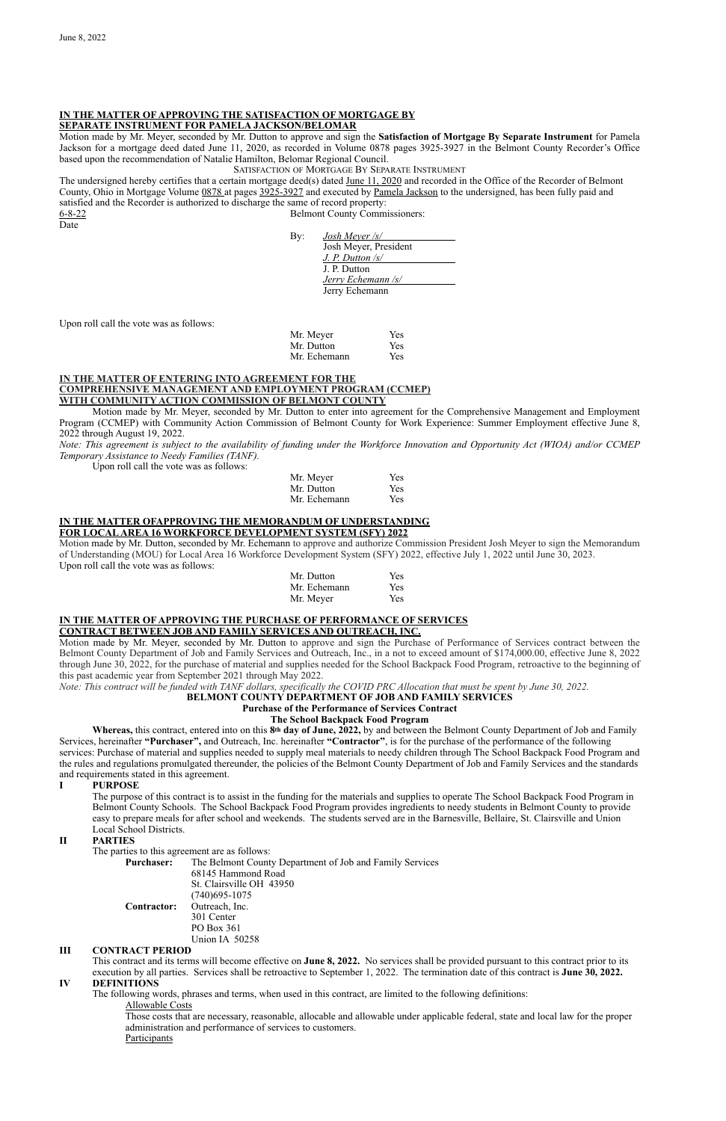## **IN THE MATTER OF APPROVING THE SATISFACTION OF MORTGAGE BY SEPARATE INSTRUMENT FOR PAMELA JACKSON/BELOMAR**

Motion made by Mr. Meyer, seconded by Mr. Dutton to approve and sign the **Satisfaction of Mortgage By Separate Instrument** for Pamela Jackson for a mortgage deed dated June 11, 2020, as recorded in Volume 0878 pages 3925-3927 in the Belmont County Recorder's Office based upon the recommendation of Natalie Hamilton, Belomar Regional Council.

The undersigned hereby certifies that a certain mortgage deed(s) dated June 11, 2020 and recorded in the Office of the Recorder of Belmont County, Ohio in Mortgage Volume 0878 at pages 3925-3927 and executed by Pamela Jackson to the undersigned, has been fully paid and satisfied and the Recorder is authorized to discharge the same of record property: 6-8-22 Belmont County Commissioners:

#### SATISFACTION OF MORTGAGE BY SEPARATE INSTRUMENT

Date

| By: | Josh Meyer /s/        |
|-----|-----------------------|
|     | Josh Meyer, President |
|     | J. P. Dutton /s/      |
|     | J. P. Dutton          |
|     | Jerry Echemann /s/    |
|     | Jerry Echemann        |

Upon roll call the vote was as follows:

| Mr. Meyer    | <b>Yes</b> |
|--------------|------------|
| Mr. Dutton   | <b>Yes</b> |
| Mr. Echemann | <b>Yes</b> |

## **IN THE MATTER OF ENTERING INTO AGREEMENT FOR THE COMPREHENSIVE MANAGEMENT AND EMPLOYMENT PROGRAM (CCMEP) WITH COMMUNITY ACTION COMMISSION OF BELMONT COUNTY**

Motion made by Mr. Meyer, seconded by Mr. Dutton to enter into agreement for the Comprehensive Management and Employment Program (CCMEP) with Community Action Commission of Belmont County for Work Experience: Summer Employment effective June 8, 2022 through August 19, 2022.

*Note: This agreement is subject to the availability of funding under the Workforce Innovation and Opportunity Act (WIOA) and/or CCMEP Temporary Assistance to Needy Families (TANF).*

Upon roll call the vote was as follows:

| Mr. Meyer    | Yes |
|--------------|-----|
| Mr. Dutton   | Yes |
| Mr. Echemann | Yes |

## **IN THE MATTER OFAPPROVING THE MEMORANDUM OF UNDERSTANDING**

## **FOR LOCAL AREA 16 WORKFORCE DEVELOPMENT SYSTEM (SFY) 2022**

Motion made by Mr. Dutton, seconded by Mr. Echemann to approve and authorize Commission President Josh Meyer to sign the Memorandum of Understanding (MOU) for Local Area 16 Workforce Development System (SFY) 2022, effective July 1, 2022 until June 30, 2023. Upon roll call the vote was as follows:

| Mr. Dutton   | Yes |
|--------------|-----|
| Mr. Echemann | Yes |
| Mr. Meyer    | Yes |

## **IN THE MATTER OF APPROVING THE PURCHASE OF PERFORMANCE OF SERVICES CONTRACT BETWEEN JOB AND FAMILY SERVICES AND OUTREACH, INC.**

Motion made by Mr. Meyer, seconded by Mr. Dutton to approve and sign the Purchase of Performance of Services contract between the Belmont County Department of Job and Family Services and Outreach, Inc., in a not to exceed amount of \$174,000.00, effective June 8, 2022 through June 30, 2022, for the purchase of material and supplies needed for the School Backpack Food Program, retroactive to the beginning of this past academic year from September 2021 through May 2022.

*Note: This contract will be funded with TANF dollars, specifically the COVID PRC Allocation that must be spent by June 30, 2022.* 

## **BELMONT COUNTY DEPARTMENT OF JOB AND FAMILY SERVICES**

## **Purchase of the Performance of Services Contract**

## **The School Backpack Food Program**

**Whereas,** this contract, entered into on this **8th day of June, 2022,** by and between the Belmont County Department of Job and Family Services, hereinafter **"Purchaser",** and Outreach, Inc. hereinafter **"Contractor"**, is for the purchase of the performance of the following services: Purchase of material and supplies needed to supply meal materials to needy children through The School Backpack Food Program and the rules and regulations promulgated thereunder, the policies of the Belmont County Department of Job and Family Services and the standards and requirements stated in this agreement.

## **I PURPOSE**

The purpose of this contract is to assist in the funding for the materials and supplies to operate The School Backpack Food Program in Belmont County Schools. The School Backpack Food Program provides ingredients to needy students in Belmont County to provide easy to prepare meals for after school and weekends. The students served are in the Barnesville, Bellaire, St. Clairsville and Union Local School Districts.

## **II PARTIES**

The parties to this agreement are as follows:

| <b>Purchaser:</b>  | The Belmont County Department of Job and Family Services |
|--------------------|----------------------------------------------------------|
|                    | 68145 Hammond Road                                       |
|                    | St. Clairsville OH 43950                                 |
|                    | $(740)695 - 1075$                                        |
| <b>Contractor:</b> | Outreach, Inc.                                           |
|                    | 301 Center                                               |
|                    | PO Box 361                                               |
|                    | Union IA 50258                                           |

## **III CONTRACT PERIOD**

This contract and its terms will become effective on **June 8, 2022.** No services shall be provided pursuant to this contract prior to its execution by all parties. Services shall be retroactive to September 1, 2022. The termination date of this contract is **June 30, 2022.** 

## **IV DEFINITIONS**

The following words, phrases and terms, when used in this contract, are limited to the following definitions:

Allowable Costs

Those costs that are necessary, reasonable, allocable and allowable under applicable federal, state and local law for the proper administration and performance of services to customers.

**Participants**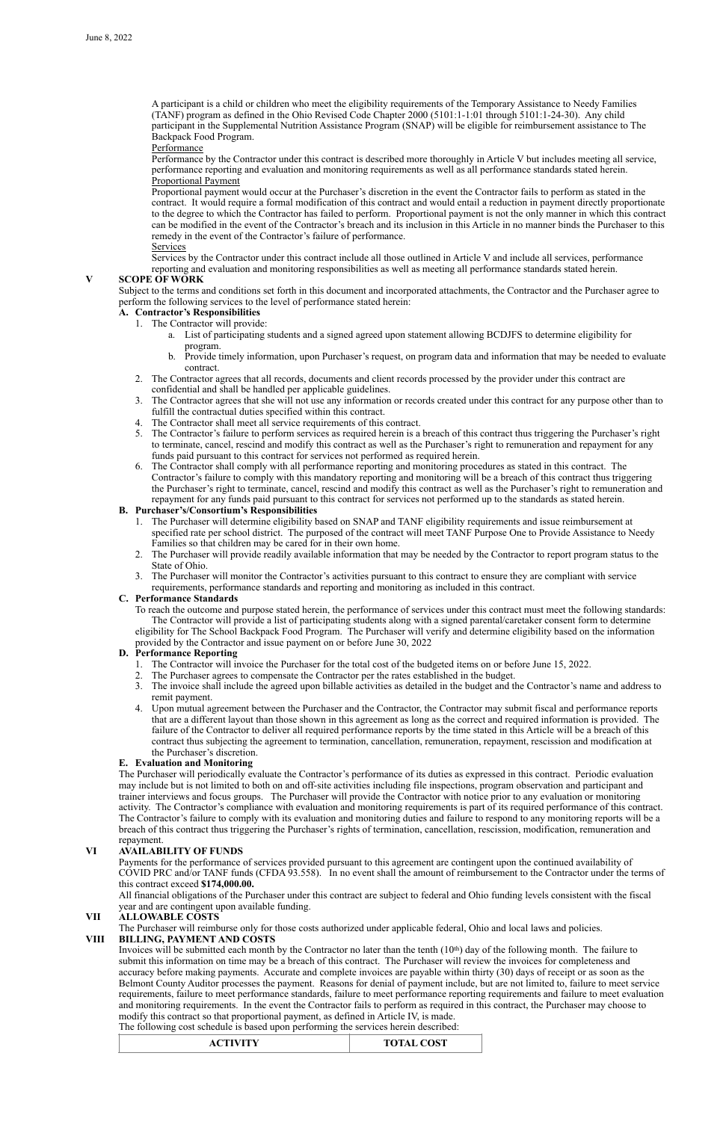A participant is a child or children who meet the eligibility requirements of the Temporary Assistance to Needy Families (TANF) program as defined in the Ohio Revised Code Chapter 2000 (5101:1-1:01 through 5101:1-24-30). Any child participant in the Supplemental Nutrition Assistance Program (SNAP) will be eligible for reimbursement assistance to The Backpack Food Program.

**Performance** 

Performance by the Contractor under this contract is described more thoroughly in Article V but includes meeting all service, performance reporting and evaluation and monitoring requirements as well as all performance standards stated herein. Proportional Payment

Proportional payment would occur at the Purchaser's discretion in the event the Contractor fails to perform as stated in the contract. It would require a formal modification of this contract and would entail a reduction in payment directly proportionate to the degree to which the Contractor has failed to perform. Proportional payment is not the only manner in which this contract can be modified in the event of the Contractor's breach and its inclusion in this Article in no manner binds the Purchaser to this remedy in the event of the Contractor's failure of performance.

**Services** 

Services by the Contractor under this contract include all those outlined in Article V and include all services, performance reporting and evaluation and monitoring responsibilities as well as meeting all performance standards stated herein.

## **V SCOPE OF WORK**

Subject to the terms and conditions set forth in this document and incorporated attachments, the Contractor and the Purchaser agree to perform the following services to the level of performance stated herein:

## **A. Contractor's Responsibilities**

- 1. The Contractor will provide:
	- a. List of participating students and a signed agreed upon statement allowing BCDJFS to determine eligibility for program.
	- b. Provide timely information, upon Purchaser's request, on program data and information that may be needed to evaluate contract.
- 2. The Contractor agrees that all records, documents and client records processed by the provider under this contract are confidential and shall be handled per applicable guidelines.
- 3. The Contractor agrees that she will not use any information or records created under this contract for any purpose other than to fulfill the contractual duties specified within this contract.
- 4. The Contractor shall meet all service requirements of this contract.
- 5. The Contractor's failure to perform services as required herein is a breach of this contract thus triggering the Purchaser's right to terminate, cancel, rescind and modify this contract as well as the Purchaser's right to remuneration and repayment for any funds paid pursuant to this contract for services not performed as required herein.
- 6. The Contractor shall comply with all performance reporting and monitoring procedures as stated in this contract. The Contractor's failure to comply with this mandatory reporting and monitoring will be a breach of this contract thus triggering the Purchaser's right to terminate, cancel, rescind and modify this contract as well as the Purchaser's right to remuneration and repayment for any funds paid pursuant to this contract for services not performed up to the standards as stated herein.

## **B. Purchaser's/Consortium's Responsibilities**

- 1. The Purchaser will determine eligibility based on SNAP and TANF eligibility requirements and issue reimbursement at specified rate per school district. The purposed of the contract will meet TANF Purpose One to Provide Assistance to Needy Families so that children may be cared for in their own home.
- 2. The Purchaser will provide readily available information that may be needed by the Contractor to report program status to the State of Ohio.
- 3. The Purchaser will monitor the Contractor's activities pursuant to this contract to ensure they are compliant with service requirements, performance standards and reporting and monitoring as included in this contract.

Invoices will be submitted each month by the Contractor no later than the tenth  $(10<sup>th</sup>)$  day of the following month. The failure to submit this information on time may be a breach of this contract. The Purchaser will review the invoices for completeness and accuracy before making payments. Accurate and complete invoices are payable within thirty (30) days of receipt or as soon as the Belmont County Auditor processes the payment. Reasons for denial of payment include, but are not limited to, failure to meet service requirements, failure to meet performance standards, failure to meet performance reporting requirements and failure to meet evaluation and monitoring requirements. In the event the Contractor fails to perform as required in this contract, the Purchaser may choose to modify this contract so that proportional payment, as defined in Article IV, is made.

## **C. Performance Standards**

To reach the outcome and purpose stated herein, the performance of services under this contract must meet the following standards: The Contractor will provide a list of participating students along with a signed parental/caretaker consent form to determine eligibility for The School Backpack Food Program. The Purchaser will verify and determine eligibility based on the information provided by the Contractor and issue payment on or before June 30, 2022

## **D. Performance Reporting**

- 1. The Contractor will invoice the Purchaser for the total cost of the budgeted items on or before June 15, 2022.
- 2. The Purchaser agrees to compensate the Contractor per the rates established in the budget.
- 3. The invoice shall include the agreed upon billable activities as detailed in the budget and the Contractor's name and address to remit payment.
- 4. Upon mutual agreement between the Purchaser and the Contractor, the Contractor may submit fiscal and performance reports that are a different layout than those shown in this agreement as long as the correct and required information is provided. The failure of the Contractor to deliver all required performance reports by the time stated in this Article will be a breach of this contract thus subjecting the agreement to termination, cancellation, remuneration, repayment, rescission and modification at the Purchaser's discretion.

## **E. Evaluation and Monitoring**

The Purchaser will periodically evaluate the Contractor's performance of its duties as expressed in this contract. Periodic evaluation may include but is not limited to both on and off-site activities including file inspections, program observation and participant and trainer interviews and focus groups. The Purchaser will provide the Contractor with notice prior to any evaluation or monitoring activity. The Contractor's compliance with evaluation and monitoring requirements is part of its required performance of this contract. The Contractor's failure to comply with its evaluation and monitoring duties and failure to respond to any monitoring reports will be a breach of this contract thus triggering the Purchaser's rights of termination, cancellation, rescission, modification, remuneration and repayment.

## **VI AVAILABILITY OF FUNDS**

Payments for the performance of services provided pursuant to this agreement are contingent upon the continued availability of COVID PRC and/or TANF funds (CFDA 93.558). In no event shall the amount of reimbursement to the Contractor under the terms of this contract exceed **\$174,000.00.**

All financial obligations of the Purchaser under this contract are subject to federal and Ohio funding levels consistent with the fiscal year and are contingent upon available funding.

## **VII ALLOWABLE COSTS**

The Purchaser will reimburse only for those costs authorized under applicable federal, Ohio and local laws and policies.

## **VIII BILLING, PAYMENT AND COSTS**

The following cost schedule is based upon performing the services herein described:

| <b>TOTAL COST</b><br><b>ACTIVITY</b> |  |
|--------------------------------------|--|
|--------------------------------------|--|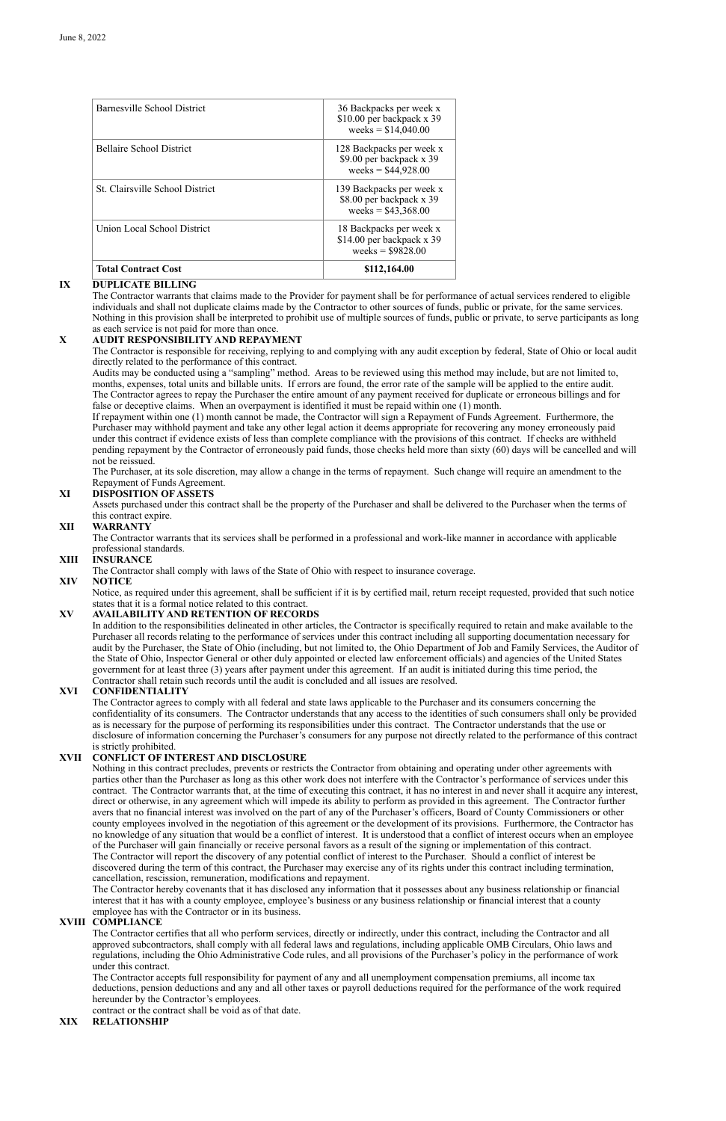## **IX DUPLICATE BILLING**

The Contractor warrants that claims made to the Provider for payment shall be for performance of actual services rendered to eligible individuals and shall not duplicate claims made by the Contractor to other sources of funds, public or private, for the same services. Nothing in this provision shall be interpreted to prohibit use of multiple sources of funds, public or private, to serve participants as long as each service is not paid for more than once.

## **X AUDIT RESPONSIBILITY AND REPAYMENT**

The Contractor is responsible for receiving, replying to and complying with any audit exception by federal, State of Ohio or local audit directly related to the performance of this contract.

Audits may be conducted using a "sampling" method. Areas to be reviewed using this method may include, but are not limited to, months, expenses, total units and billable units. If errors are found, the error rate of the sample will be applied to the entire audit. The Contractor agrees to repay the Purchaser the entire amount of any payment received for duplicate or erroneous billings and for false or deceptive claims. When an overpayment is identified it must be repaid within one (1) month.

If repayment within one (1) month cannot be made, the Contractor will sign a Repayment of Funds Agreement. Furthermore, the Purchaser may withhold payment and take any other legal action it deems appropriate for recovering any money erroneously paid under this contract if evidence exists of less than complete compliance with the provisions of this contract. If checks are withheld pending repayment by the Contractor of erroneously paid funds, those checks held more than sixty (60) days will be cancelled and will not be reissued.

The Purchaser, at its sole discretion, may allow a change in the terms of repayment. Such change will require an amendment to the Repayment of Funds Agreement.

## **XI DISPOSITION OF ASSETS**

Assets purchased under this contract shall be the property of the Purchaser and shall be delivered to the Purchaser when the terms of this contract expire.

## **XII WARRANTY**

The Contractor warrants that its services shall be performed in a professional and work-like manner in accordance with applicable professional standards.

## **XIII INSURANCE**

The Contractor shall comply with laws of the State of Ohio with respect to insurance coverage.

## **XIV NOTICE**

Notice, as required under this agreement, shall be sufficient if it is by certified mail, return receipt requested, provided that such notice states that it is a formal notice related to this contract.

## **XV AVAILABILITY AND RETENTION OF RECORDS**

In addition to the responsibilities delineated in other articles, the Contractor is specifically required to retain and make available to the Purchaser all records relating to the performance of services under this contract including all supporting documentation necessary for audit by the Purchaser, the State of Ohio (including, but not limited to, the Ohio Department of Job and Family Services, the Auditor of the State of Ohio, Inspector General or other duly appointed or elected law enforcement officials) and agencies of the United States government for at least three (3) years after payment under this agreement. If an audit is initiated during this time period, the Contractor shall retain such records until the audit is concluded and all issues are resolved.

## **XVI CONFIDENTIALITY**

The Contractor agrees to comply with all federal and state laws applicable to the Purchaser and its consumers concerning the confidentiality of its consumers. The Contractor understands that any access to the identities of such consumers shall only be provided as is necessary for the purpose of performing its responsibilities under this contract. The Contractor understands that the use or disclosure of information concerning the Purchaser's consumers for any purpose not directly related to the performance of this contract is strictly prohibited.

## **XVII CONFLICT OF INTEREST AND DISCLOSURE**

Nothing in this contract precludes, prevents or restricts the Contractor from obtaining and operating under other agreements with parties other than the Purchaser as long as this other work does not interfere with the Contractor's performance of services under this contract. The Contractor warrants that, at the time of executing this contract, it has no interest in and never shall it acquire any interest, direct or otherwise, in any agreement which will impede its ability to perform as provided in this agreement. The Contractor further avers that no financial interest was involved on the part of any of the Purchaser's officers, Board of County Commissioners or other county employees involved in the negotiation of this agreement or the development of its provisions. Furthermore, the Contractor has no knowledge of any situation that would be a conflict of interest. It is understood that a conflict of interest occurs when an employee of the Purchaser will gain financially or receive personal favors as a result of the signing or implementation of this contract. The Contractor will report the discovery of any potential conflict of interest to the Purchaser. Should a conflict of interest be discovered during the term of this contract, the Purchaser may exercise any of its rights under this contract including termination, cancellation, rescission, remuneration, modifications and repayment. The Contractor hereby covenants that it has disclosed any information that it possesses about any business relationship or financial interest that it has with a county employee, employee's business or any business relationship or financial interest that a county employee has with the Contractor or in its business.

## **XVIII COMPLIANCE**

The Contractor certifies that all who perform services, directly or indirectly, under this contract, including the Contractor and all approved subcontractors, shall comply with all federal laws and regulations, including applicable OMB Circulars, Ohio laws and regulations, including the Ohio Administrative Code rules, and all provisions of the Purchaser's policy in the performance of work under this contract.

The Contractor accepts full responsibility for payment of any and all unemployment compensation premiums, all income tax deductions, pension deductions and any and all other taxes or payroll deductions required for the performance of the work required hereunder by the Contractor's employees.

contract or the contract shall be void as of that date.

## **XIX RELATIONSHIP**

| <b>Total Contract Cost</b>             | \$112,164.00                                                                 |
|----------------------------------------|------------------------------------------------------------------------------|
| Union Local School District            | 18 Backpacks per week x<br>\$14.00 per backpack x 39<br>weeks = $$9828.00$   |
| <b>St.</b> Clairsville School District | 139 Backpacks per week x<br>\$8.00 per backpack x 39<br>weeks = $$43,368.00$ |
| <b>Bellaire School District</b>        | 128 Backpacks per week x<br>\$9.00 per backpack x 39<br>weeks = $$44,928.00$ |
| Barnesville School District            | 36 Backpacks per week x<br>\$10.00 per backpack x 39<br>weeks = $$14,040.00$ |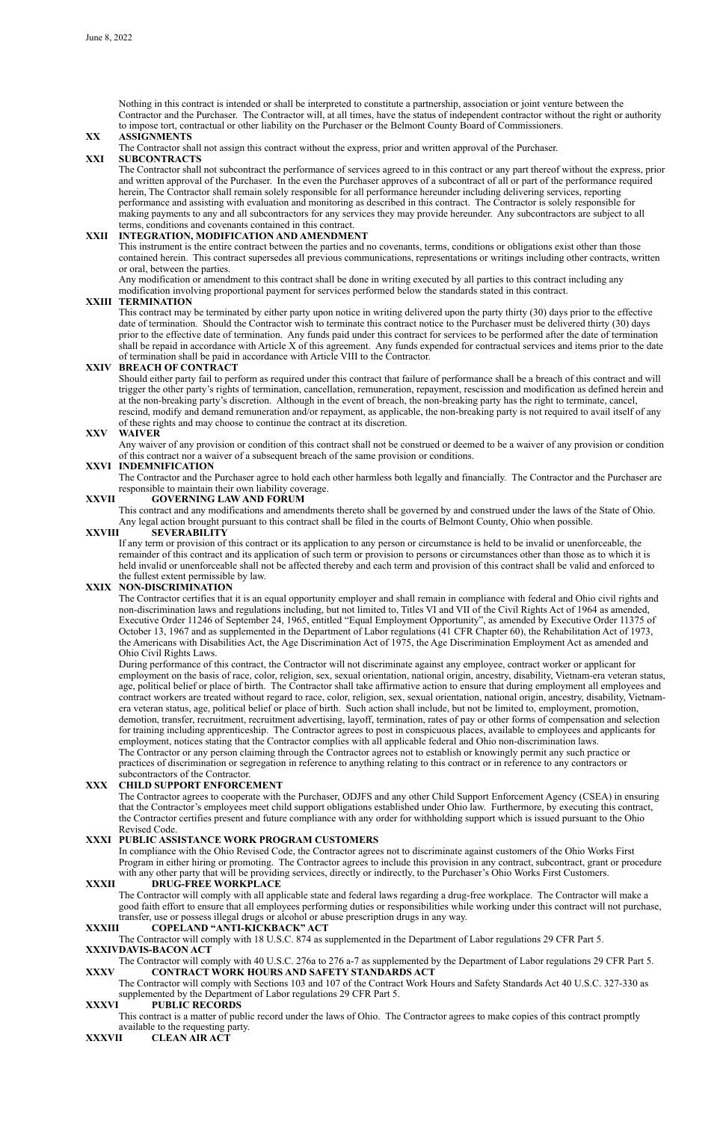Nothing in this contract is intended or shall be interpreted to constitute a partnership, association or joint venture between the Contractor and the Purchaser. The Contractor will, at all times, have the status of independent contractor without the right or authority to impose tort, contractual or other liability on the Purchaser or the Belmont County Board of Commissioners.

#### **XX ASSIGNMENTS**

The Contractor shall not assign this contract without the express, prior and written approval of the Purchaser.

#### **XXI SUBCONTRACTS**

The Contractor shall not subcontract the performance of services agreed to in this contract or any part thereof without the express, prior and written approval of the Purchaser. In the even the Purchaser approves of a subcontract of all or part of the performance required herein, The Contractor shall remain solely responsible for all performance hereunder including delivering services, reporting performance and assisting with evaluation and monitoring as described in this contract. The Contractor is solely responsible for making payments to any and all subcontractors for any services they may provide hereunder. Any subcontractors are subject to all terms, conditions and covenants contained in this contract.

#### **XXII INTEGRATION, MODIFICATION AND AMENDMENT**

This instrument is the entire contract between the parties and no covenants, terms, conditions or obligations exist other than those contained herein. This contract supersedes all previous communications, representations or writings including other contracts, written or oral, between the parties.

Any modification or amendment to this contract shall be done in writing executed by all parties to this contract including any modification involving proportional payment for services performed below the standards stated in this contract.

#### **XXIII TERMINATION**

This contract may be terminated by either party upon notice in writing delivered upon the party thirty (30) days prior to the effective date of termination. Should the Contractor wish to terminate this contract notice to the Purchaser must be delivered thirty (30) days prior to the effective date of termination. Any funds paid under this contract for services to be performed after the date of termination shall be repaid in accordance with Article X of this agreement. Any funds expended for contractual services and items prior to the date of termination shall be paid in accordance with Article VIII to the Contractor.

## **XXIV BREACH OF CONTRACT**

Should either party fail to perform as required under this contract that failure of performance shall be a breach of this contract and will trigger the other party's rights of termination, cancellation, remuneration, repayment, rescission and modification as defined herein and at the non-breaking party's discretion. Although in the event of breach, the non-breaking party has the right to terminate, cancel, rescind, modify and demand remuneration and/or repayment, as applicable, the non-breaking party is not required to avail itself of any of these rights and may choose to continue the contract at its discretion.

#### **XXV WAIVER**

Any waiver of any provision or condition of this contract shall not be construed or deemed to be a waiver of any provision or condition of this contract nor a waiver of a subsequent breach of the same provision or conditions.

#### **XXVI INDEMNIFICATION**

In compliance with the Ohio Revised Code, the Contractor agrees not to discriminate against customers of the Ohio Works First Program in either hiring or promoting. The Contractor agrees to include this provision in any contract, subcontract, grant or procedure with any other party that will be providing services, directly or indirectly, to the Purchaser's Ohio Works First Customers.

The Contractor and the Purchaser agree to hold each other harmless both legally and financially. The Contractor and the Purchaser are responsible to maintain their own liability coverage.

#### **XXVII GOVERNING LAW AND FORUM**

This contract and any modifications and amendments thereto shall be governed by and construed under the laws of the State of Ohio. Any legal action brought pursuant to this contract shall be filed in the courts of Belmont County, Ohio when possible.

#### **XXVIII SEVERABILITY**

If any term or provision of this contract or its application to any person or circumstance is held to be invalid or unenforceable, the remainder of this contract and its application of such term or provision to persons or circumstances other than those as to which it is held invalid or unenforceable shall not be affected thereby and each term and provision of this contract shall be valid and enforced to the fullest extent permissible by law.

## **XXIX NON-DISCRIMINATION**

The Contractor certifies that it is an equal opportunity employer and shall remain in compliance with federal and Ohio civil rights and non-discrimination laws and regulations including, but not limited to, Titles VI and VII of the Civil Rights Act of 1964 as amended, Executive Order 11246 of September 24, 1965, entitled "Equal Employment Opportunity", as amended by Executive Order 11375 of October 13, 1967 and as supplemented in the Department of Labor regulations (41 CFR Chapter 60), the Rehabilitation Act of 1973, the Americans with Disabilities Act, the Age Discrimination Act of 1975, the Age Discrimination Employment Act as amended and Ohio Civil Rights Laws.

During performance of this contract, the Contractor will not discriminate against any employee, contract worker or applicant for employment on the basis of race, color, religion, sex, sexual orientation, national origin, ancestry, disability, Vietnam-era veteran status, age, political belief or place of birth. The Contractor shall take affirmative action to ensure that during employment all employees and contract workers are treated without regard to race, color, religion, sex, sexual orientation, national origin, ancestry, disability, Vietnamera veteran status, age, political belief or place of birth. Such action shall include, but not be limited to, employment, promotion, demotion, transfer, recruitment, recruitment advertising, layoff, termination, rates of pay or other forms of compensation and selection for training including apprenticeship. The Contractor agrees to post in conspicuous places, available to employees and applicants for employment, notices stating that the Contractor complies with all applicable federal and Ohio non-discrimination laws. The Contractor or any person claiming through the Contractor agrees not to establish or knowingly permit any such practice or practices of discrimination or segregation in reference to anything relating to this contract or in reference to any contractors or subcontractors of the Contractor.

## **XXX CHILD SUPPORT ENFORCEMENT**

The Contractor agrees to cooperate with the Purchaser, ODJFS and any other Child Support Enforcement Agency (CSEA) in ensuring that the Contractor's employees meet child support obligations established under Ohio law. Furthermore, by executing this contract, the Contractor certifies present and future compliance with any order for withholding support which is issued pursuant to the Ohio

Revised Code.

## **XXXI PUBLIC ASSISTANCE WORK PROGRAM CUSTOMERS**

## **XXXII DRUG-FREE WORKPLACE**

The Contractor will comply with all applicable state and federal laws regarding a drug-free workplace. The Contractor will make a good faith effort to ensure that all employees performing duties or responsibilities while working under this contract will not purchase, transfer, use or possess illegal drugs or alcohol or abuse prescription drugs in any way.

## **XXXIII COPELAND "ANTI-KICKBACK" ACT**

The Contractor will comply with 18 U.S.C. 874 as supplemented in the Department of Labor regulations 29 CFR Part 5.

## **XXXIVDAVIS-BACON ACT**

The Contractor will comply with 40 U.S.C. 276a to 276 a-7 as supplemented by the Department of Labor regulations 29 CFR Part 5.

## **XXXV CONTRACT WORK HOURS AND SAFETY STANDARDS ACT**

The Contractor will comply with Sections 103 and 107 of the Contract Work Hours and Safety Standards Act 40 U.S.C. 327-330 as supplemented by the Department of Labor regulations 29 CFR Part 5.

## **XXXVI PUBLIC RECORDS**

This contract is a matter of public record under the laws of Ohio. The Contractor agrees to make copies of this contract promptly available to the requesting party.

## **XXXVII CLEAN AIR ACT**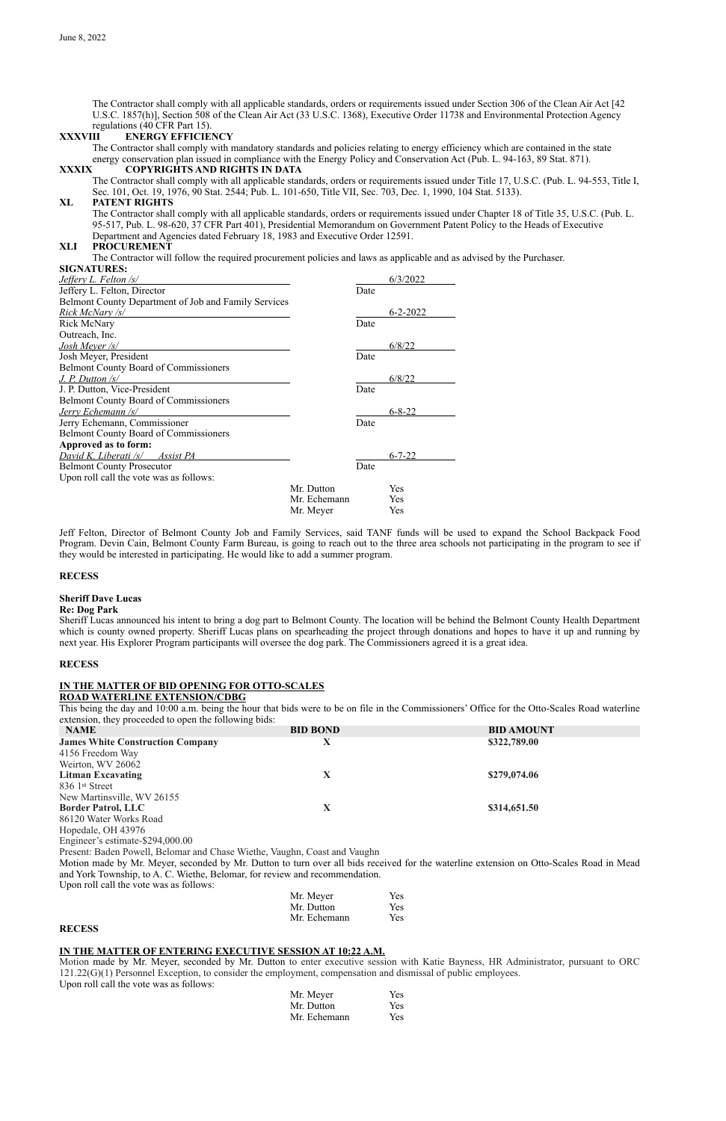The Contractor shall comply with all applicable standards, orders or requirements issued under Section 306 of the Clean Air Act [42 U.S.C. 1857(h)], Section 508 of the Clean Air Act (33 U.S.C. 1368), Executive Order 11738 and Environmental Protection Agency regulations (40 CFR Part 15).

#### **XXXVIII ENERGY EFFICIENCY**

The Contractor shall comply with mandatory standards and policies relating to energy efficiency which are contained in the state energy conservation plan issued in compliance with the Energy Policy and Conservation Act (Pub. L. 94-163, 89 Stat. 871).

#### **XXXIX COPYRIGHTS AND RIGHTS IN DATA**

The Contractor shall comply with all applicable standards, orders or requirements issued under Title 17, U.S.C. (Pub. L. 94-553, Title I, Sec. 101, Oct. 19, 1976, 90 Stat. 2544; Pub. L. 101-650, Title VII, Sec. 703, Dec. 1, 1990, 104 Stat. 5133).

#### **XL PATENT RIGHTS**

The Contractor shall comply with all applicable standards, orders or requirements issued under Chapter 18 of Title 35, U.S.C. (Pub. L. 95-517, Pub. L. 98-620, 37 CFR Part 401), Presidential Memorandum on Government Patent Policy to the Heads of Executive Department and Agencies dated February 18, 1983 and Executive Order 12591.

#### **XLI PROCUREMENT**

The Contractor will follow the required procurement policies and laws as applicable and as advised by the Purchaser.

#### **SIGNATURES:**

|              |                                                      | 6/3/2022       |
|--------------|------------------------------------------------------|----------------|
|              | Date                                                 |                |
|              |                                                      |                |
|              |                                                      | $6 - 2 - 2022$ |
|              | Date                                                 |                |
|              |                                                      |                |
|              |                                                      | 6/8/22         |
|              | Date                                                 |                |
|              |                                                      |                |
|              |                                                      | 6/8/22         |
|              | Date                                                 |                |
|              |                                                      |                |
|              |                                                      | $6 - 8 - 22$   |
|              | Date                                                 |                |
|              |                                                      |                |
|              |                                                      |                |
|              |                                                      | $6 - 7 - 22$   |
|              | Date                                                 |                |
|              |                                                      |                |
| Mr. Dutton   |                                                      | Yes            |
| Mr. Echemann |                                                      | <b>Yes</b>     |
| Mr. Meyer    |                                                      | Yes            |
|              | Belmont County Department of Job and Family Services |                |

Jeff Felton, Director of Belmont County Job and Family Services, said TANF funds will be used to expand the School Backpack Food Program. Devin Cain, Belmont County Farm Bureau, is going to reach out to the three area schools not participating in the program to see if they would be interested in participating. He would like to add a summer program.

#### **RECESS**

#### **Sheriff Dave Lucas**

#### **Re: Dog Park**

Sheriff Lucas announced his intent to bring a dog part to Belmont County. The location will be behind the Belmont County Health Department which is county owned property. Sheriff Lucas plans on spearheading the project through donations and hopes to have it up and running by next year. His Explorer Program participants will oversee the dog park. The Commissioners agreed it is a great idea.

#### **RECESS**

#### **IN THE MATTER OF BID OPENING FOR OTTO-SCALES ROAD WATERLINE EXTENSION/CDBG**

This being the day and 10:00 a.m. being the hour that bids were to be on file in the Commissioners' Office for the Otto-Scales Road waterline extension, they proceeded to open the following bids:

| $\alpha$ calculate $\alpha$ , they proceeded to open the following order. |                 |                   |
|---------------------------------------------------------------------------|-----------------|-------------------|
| <b>NAME</b>                                                               | <b>BID BOND</b> | <b>BID AMOUNT</b> |
| <b>James White Construction Company</b>                                   |                 | \$322,789.00      |
| 4156 Freedom Way                                                          |                 |                   |
| Weirton, WV 26062                                                         |                 |                   |
| <b>Litman Excavating</b>                                                  |                 | \$279,074.06      |
| 836 1 <sup>st</sup> Street                                                |                 |                   |
| New Martinsville, WV 26155                                                |                 |                   |
| <b>Border Patrol, LLC</b>                                                 |                 | \$314,651.50      |
| 86120 Water Works Road                                                    |                 |                   |

Hopedale, OH 43976 Engineer's estimate-\$294,000.00 Present: Baden Powell, Belomar and Chase Wiethe, Vaughn, Coast and Vaughn Motion made by Mr. Meyer, seconded by Mr. Dutton to turn over all bids received for the waterline extension on Otto-Scales Road in Mead and York Township, to A. C. Wiethe, Belomar, for review and recommendation. Upon roll call the vote was as follows:

| Mr. Meyer    | <b>Yes</b> |
|--------------|------------|
| Mr. Dutton   | <b>Yes</b> |
| Mr. Echemann | <b>Yes</b> |

#### **RECESS**

## **IN THE MATTER OF ENTERING EXECUTIVE SESSION AT 10:22 A.M.**

Motion made by Mr. Meyer, seconded by Mr. Dutton to enter executive session with Katie Bayness, HR Administrator, pursuant to ORC 121.22(G)(1) Personnel Exception, to consider the employment, compensation and dismissal of public employees. Upon roll call the vote was as follows:

| Mr. Meyer    | Yes |
|--------------|-----|
| Mr. Dutton   | Yes |
| Mr. Echemann | Yes |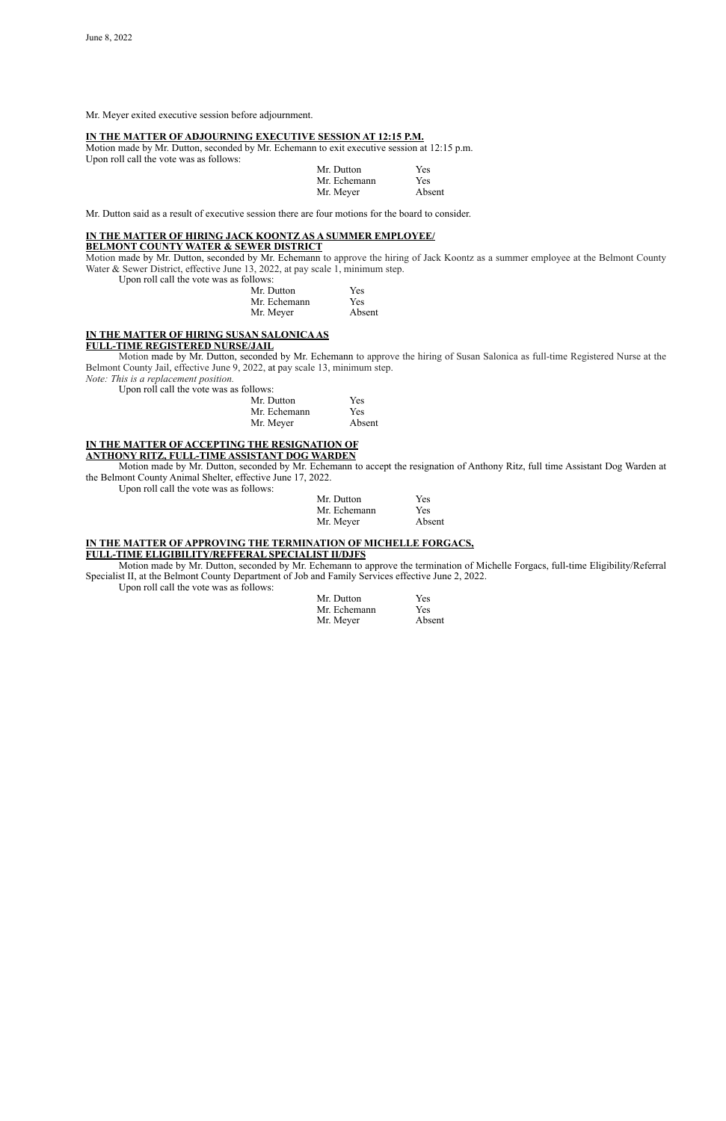Mr. Meyer exited executive session before adjournment.

## **IN THE MATTER OF ADJOURNING EXECUTIVE SESSION AT 12:15 P.M.**

Motion made by Mr. Dutton, seconded by Mr. Echemann to exit executive session at 12:15 p.m. Upon roll call the vote was as follows:

Motion made by Mr. Dutton, seconded by Mr. Echemann to approve the hiring of Jack Koontz as a summer employee at the Belmont County Water & Sewer District, effective June 13, 2022, at pay scale 1, minimum step.

| Mr. Dutton   | <b>Yes</b> |
|--------------|------------|
| Mr. Echemann | <b>Yes</b> |
| Mr. Meyer    | Absent     |

Mr. Dutton said as a result of executive session there are four motions for the board to consider.

# **IN THE MATTER OF HIRING JACK KOONTZ AS A SUMMER EMPLOYEE/**

## **BELMONT COUNTY WATER & SEWER DISTRICT**

Upon roll call the vote was as follows:

| Mr. Dutton   | <b>Yes</b> |
|--------------|------------|
| Mr. Echemann | <b>Yes</b> |
| Mr. Meyer    | Absent     |

## **IN THE MATTER OF HIRING SUSAN SALONICA AS**

## **FULL-TIME REGISTERED NURSE/JAIL**

Motion made by Mr. Dutton, seconded by Mr. Echemann to approve the hiring of Susan Salonica as full-time Registered Nurse at the Belmont County Jail, effective June 9, 2022, at pay scale 13, minimum step.

*Note: This is a replacement position.*

Upon roll call the vote was as follows:

| Mr. Dutton   | <b>Yes</b> |
|--------------|------------|
| Mr. Echemann | Yes        |
| Mr. Meyer    | Absent     |

## **IN THE MATTER OF ACCEPTING THE RESIGNATION OF ANTHONY RITZ, FULL-TIME ASSISTANT DOG WARDEN**

Motion made by Mr. Dutton, seconded by Mr. Echemann to accept the resignation of Anthony Ritz, full time Assistant Dog Warden at the Belmont County Animal Shelter, effective June 17, 2022.

Upon roll call the vote was as follows:

| Mr. Dutton   | <b>Yes</b> |
|--------------|------------|
| Mr. Echemann | Yes        |
| Mr. Meyer    | Absent     |

## **IN THE MATTER OF APPROVING THE TERMINATION OF MICHELLE FORGACS, FULL-TIME ELIGIBILITY/REFFERAL SPECIALIST II/DJFS**

Motion made by Mr. Dutton, seconded by Mr. Echemann to approve the termination of Michelle Forgacs, full-time Eligibility/Referral Specialist II, at the Belmont County Department of Job and Family Services effective June 2, 2022.

Upon roll call the vote was as follows:

| Mr. Dutton   | Yes        |
|--------------|------------|
| Mr. Echemann | <b>Yes</b> |
| Mr. Meyer    | Absent     |